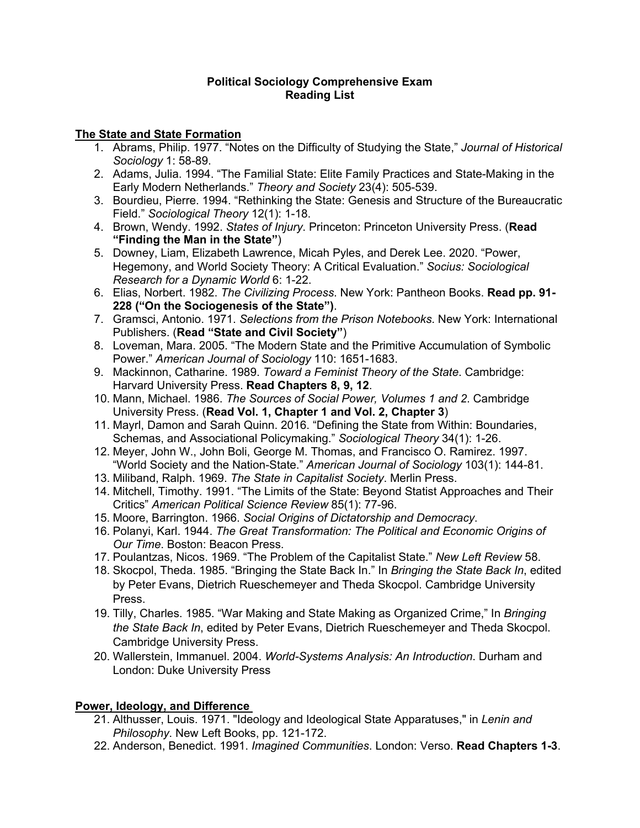#### **Political Sociology Comprehensive Exam Reading List**

## **The State and State Formation**

- 1. Abrams, Philip. 1977. "Notes on the Difficulty of Studying the State," *Journal of Historical Sociology* 1: 58-89.
- 2. Adams, Julia. 1994. "The Familial State: Elite Family Practices and State-Making in the Early Modern Netherlands." *Theory and Society* 23(4): 505-539.
- 3. Bourdieu, Pierre. 1994. "Rethinking the State: Genesis and Structure of the Bureaucratic Field." *Sociological Theory* 12(1): 1-18.
- 4. Brown, Wendy. 1992. *States of Injury*. Princeton: Princeton University Press. (**Read "Finding the Man in the State"**)
- 5. Downey, Liam, Elizabeth Lawrence, Micah Pyles, and Derek Lee. 2020. "Power, Hegemony, and World Society Theory: A Critical Evaluation." *Socius: Sociological Research for a Dynamic World* 6: 1-22.
- 6. Elias, Norbert. 1982. *The Civilizing Process*. New York: Pantheon Books. **Read pp. 91- 228 ("On the Sociogenesis of the State")**.
- 7. Gramsci, Antonio. 1971. *Selections from the Prison Notebooks*. New York: International Publishers. (**Read "State and Civil Society"**)
- 8. Loveman, Mara. 2005. "The Modern State and the Primitive Accumulation of Symbolic Power." *American Journal of Sociology* 110: 1651-1683.
- 9. Mackinnon, Catharine. 1989. *Toward a Feminist Theory of the State*. Cambridge: Harvard University Press. **Read Chapters 8, 9, 12**.
- 10. Mann, Michael. 1986. *The Sources of Social Power, Volumes 1 and 2*. Cambridge University Press. (**Read Vol. 1, Chapter 1 and Vol. 2, Chapter 3**)
- 11. Mayrl, Damon and Sarah Quinn. 2016. "Defining the State from Within: Boundaries, Schemas, and Associational Policymaking." *Sociological Theory* 34(1): 1-26.
- 12. Meyer, John W., John Boli, George M. Thomas, and Francisco O. Ramirez. 1997. "World Society and the Nation-State." *American Journal of Sociology* 103(1): 144-81.
- 13. Miliband, Ralph. 1969. *The State in Capitalist Society*. Merlin Press.
- 14. Mitchell, Timothy. 1991. "The Limits of the State: Beyond Statist Approaches and Their Critics" *American Political Science Review* 85(1): 77-96.
- 15. Moore, Barrington. 1966. *Social Origins of Dictatorship and Democracy*.
- 16. Polanyi, Karl. 1944. *The Great Transformation: The Political and Economic Origins of Our Time*. Boston: Beacon Press.
- 17. Poulantzas, Nicos. 1969. "The Problem of the Capitalist State." *New Left Review* 58.
- 18. Skocpol, Theda. 1985. "Bringing the State Back In." In *Bringing the State Back In*, edited by Peter Evans, Dietrich Rueschemeyer and Theda Skocpol. Cambridge University Press.
- 19. Tilly, Charles. 1985. "War Making and State Making as Organized Crime," In *Bringing the State Back In*, edited by Peter Evans, Dietrich Rueschemeyer and Theda Skocpol. Cambridge University Press.
- 20. Wallerstein, Immanuel. 2004. *World-Systems Analysis: An Introduction*. Durham and London: Duke University Press

# **Power, Ideology, and Difference**

- 21. Althusser, Louis. 1971. "Ideology and Ideological State Apparatuses," in *Lenin and Philosophy*. New Left Books, pp. 121-172.
- 22. Anderson, Benedict. 1991. *Imagined Communities*. London: Verso. **Read Chapters 1-3**.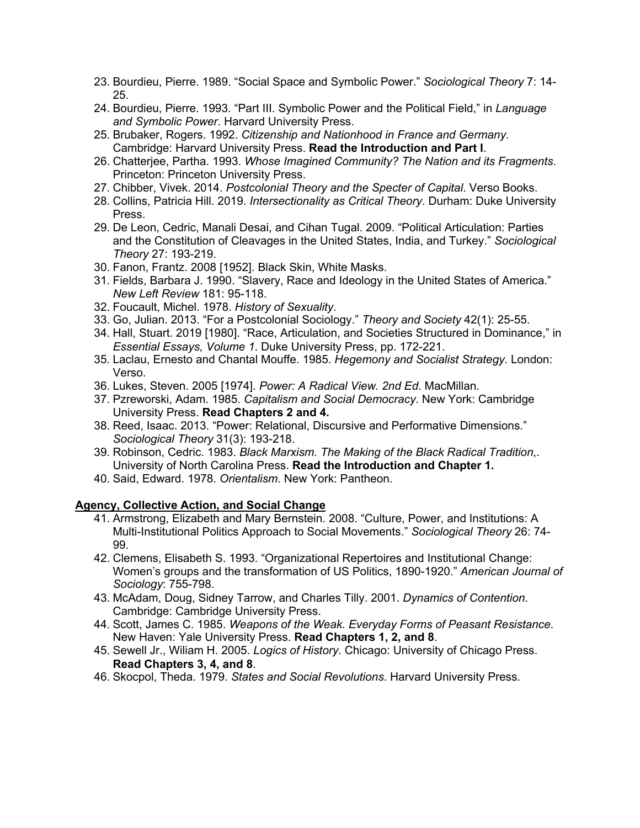- 23. Bourdieu, Pierre. 1989. "Social Space and Symbolic Power." *Sociological Theory* 7: 14- 25.
- 24. Bourdieu, Pierre. 1993. "Part III. Symbolic Power and the Political Field," in *Language and Symbolic Power*. Harvard University Press.
- 25. Brubaker, Rogers. 1992. *Citizenship and Nationhood in France and Germany*. Cambridge: Harvard University Press. **Read the Introduction and Part I**.
- 26. Chatterjee, Partha. 1993. *Whose Imagined Community? The Nation and its Fragments*. Princeton: Princeton University Press.
- 27. Chibber, Vivek. 2014. *Postcolonial Theory and the Specter of Capital*. Verso Books.
- 28. Collins, Patricia Hill. 2019. *Intersectionality as Critical Theory*. Durham: Duke University Press.
- 29. De Leon, Cedric, Manali Desai, and Cihan Tugal. 2009. "Political Articulation: Parties and the Constitution of Cleavages in the United States, India, and Turkey." *Sociological Theory* 27: 193-219.
- 30. Fanon, Frantz. 2008 [1952]. Black Skin, White Masks.
- 31. Fields, Barbara J. 1990. "Slavery, Race and Ideology in the United States of America." *New Left Review* 181: 95-118.
- 32. Foucault, Michel. 1978. *History of Sexuality*.
- 33. Go, Julian. 2013. "For a Postcolonial Sociology." *Theory and Society* 42(1): 25-55.
- 34. Hall, Stuart. 2019 [1980]. "Race, Articulation, and Societies Structured in Dominance," in *Essential Essays, Volume 1*. Duke University Press, pp. 172-221.
- 35. Laclau, Ernesto and Chantal Mouffe. 1985. *Hegemony and Socialist Strategy*. London: Verso.
- 36. Lukes, Steven. 2005 [1974]. *Power: A Radical View. 2nd Ed*. MacMillan.
- 37. Pzreworski, Adam. 1985. *Capitalism and Social Democracy*. New York: Cambridge University Press. **Read Chapters 2 and 4.**
- 38. Reed, Isaac. 2013. "Power: Relational, Discursive and Performative Dimensions." *Sociological Theory* 31(3): 193-218.
- 39. Robinson, Cedric. 1983. *Black Marxism. The Making of the Black Radical Tradition*,. University of North Carolina Press. **Read the Introduction and Chapter 1.**
- 40. Said, Edward. 1978. *Orientalism*. New York: Pantheon.

## **Agency, Collective Action, and Social Change**

- 41. Armstrong, Elizabeth and Mary Bernstein. 2008. "Culture, Power, and Institutions: A Multi-Institutional Politics Approach to Social Movements." *Sociological Theory* 26: 74- 99.
- 42. Clemens, Elisabeth S. 1993. "Organizational Repertoires and Institutional Change: Women's groups and the transformation of US Politics, 1890-1920." *American Journal of Sociology*: 755-798.
- 43. McAdam, Doug, Sidney Tarrow, and Charles Tilly. 2001. *Dynamics of Contention*. Cambridge: Cambridge University Press.
- 44. Scott, James C. 1985. *Weapons of the Weak. Everyday Forms of Peasant Resistance*. New Haven: Yale University Press. **Read Chapters 1, 2, and 8**.
- 45. Sewell Jr., Wiliam H. 2005. *Logics of History*. Chicago: University of Chicago Press. **Read Chapters 3, 4, and 8**.
- 46. Skocpol, Theda. 1979. *States and Social Revolutions*. Harvard University Press.